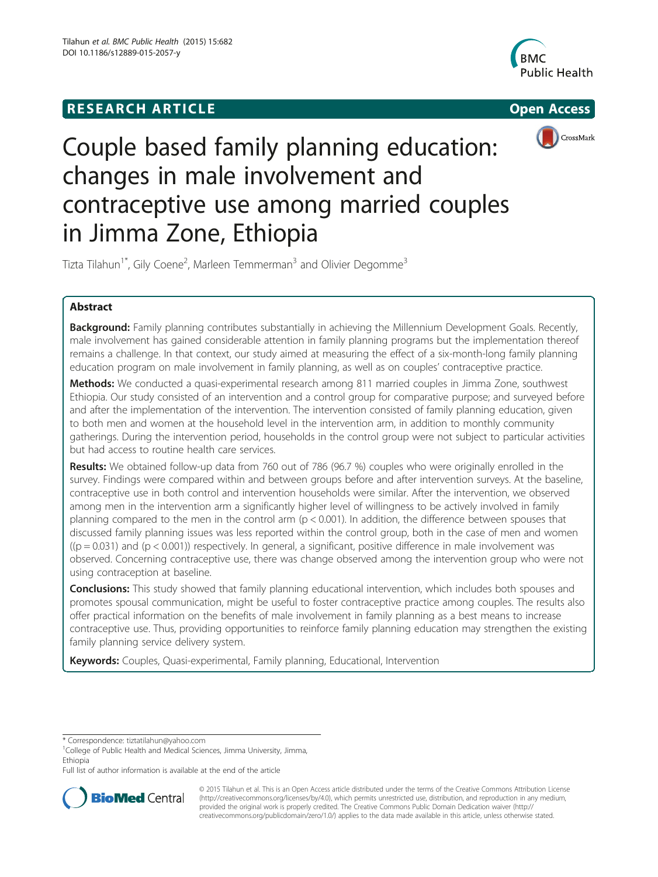# **RESEARCH ARTICLE Example 2008 CONSIDERING CONSIDERING CONSIDERING CONSIDERING CONSIDERING CONSIDERING CONSIDERING CONSIDERING CONSIDERING CONSIDERING CONSIDERING CONSIDERING CONSIDERING CONSIDERING CONSIDERING CONSIDE**







# Couple based family planning education: changes in male involvement and contraceptive use among married couples in Jimma Zone, Ethiopia

Tizta Tilahun<sup>1\*</sup>, Gily Coene<sup>2</sup>, Marleen Temmerman<sup>3</sup> and Olivier Degomme<sup>3</sup>

# Abstract

**Background:** Family planning contributes substantially in achieving the Millennium Development Goals. Recently, male involvement has gained considerable attention in family planning programs but the implementation thereof remains a challenge. In that context, our study aimed at measuring the effect of a six-month-long family planning education program on male involvement in family planning, as well as on couples' contraceptive practice.

Methods: We conducted a quasi-experimental research among 811 married couples in Jimma Zone, southwest Ethiopia. Our study consisted of an intervention and a control group for comparative purpose; and surveyed before and after the implementation of the intervention. The intervention consisted of family planning education, given to both men and women at the household level in the intervention arm, in addition to monthly community gatherings. During the intervention period, households in the control group were not subject to particular activities but had access to routine health care services.

Results: We obtained follow-up data from 760 out of 786 (96.7 %) couples who were originally enrolled in the survey. Findings were compared within and between groups before and after intervention surveys. At the baseline, contraceptive use in both control and intervention households were similar. After the intervention, we observed among men in the intervention arm a significantly higher level of willingness to be actively involved in family planning compared to the men in the control arm (p < 0.001). In addition, the difference between spouses that discussed family planning issues was less reported within the control group, both in the case of men and women  $((p = 0.031)$  and  $(p < 0.001)$ ) respectively. In general, a significant, positive difference in male involvement was observed. Concerning contraceptive use, there was change observed among the intervention group who were not using contraception at baseline.

**Conclusions:** This study showed that family planning educational intervention, which includes both spouses and promotes spousal communication, might be useful to foster contraceptive practice among couples. The results also offer practical information on the benefits of male involvement in family planning as a best means to increase contraceptive use. Thus, providing opportunities to reinforce family planning education may strengthen the existing family planning service delivery system.

Keywords: Couples, Quasi-experimental, Family planning, Educational, Intervention

\* Correspondence: [tiztatilahun@yahoo.com](mailto:tiztatilahun@yahoo.com) <sup>1</sup>

<sup>1</sup>College of Public Health and Medical Sciences, Jimma University, Jimma, Ethiopia

Full list of author information is available at the end of the article



© 2015 Tilahun et al. This is an Open Access article distributed under the terms of the Creative Commons Attribution License [\(http://creativecommons.org/licenses/by/4.0\)](http://creativecommons.org/licenses/by/4.0), which permits unrestricted use, distribution, and reproduction in any medium, provided the original work is properly credited. The Creative Commons Public Domain Dedication waiver [\(http://](http://creativecommons.org/publicdomain/zero/1.0/) [creativecommons.org/publicdomain/zero/1.0/\)](http://creativecommons.org/publicdomain/zero/1.0/) applies to the data made available in this article, unless otherwise stated.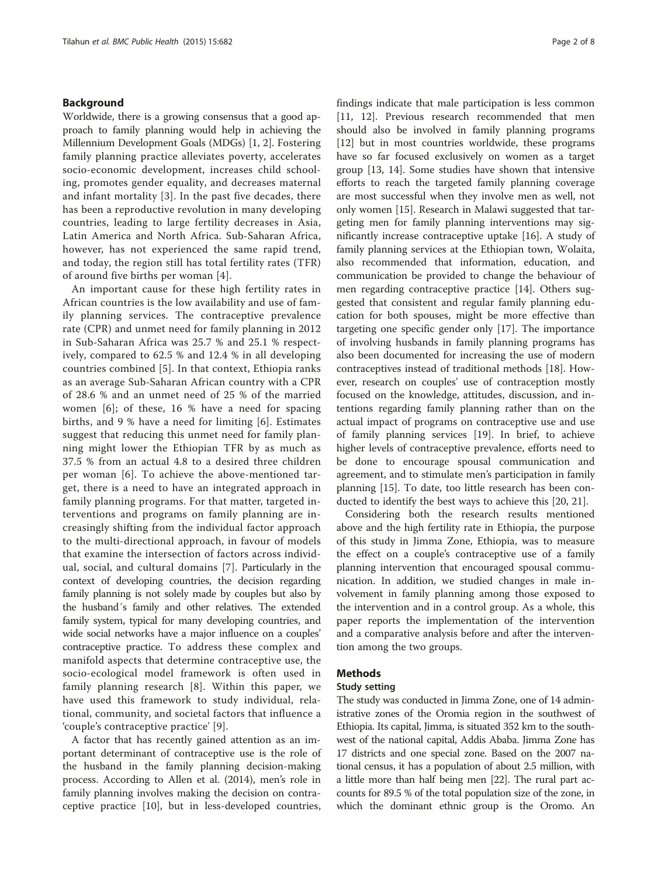## Background

Worldwide, there is a growing consensus that a good approach to family planning would help in achieving the Millennium Development Goals (MDGs) [\[1](#page-7-0), [2](#page-7-0)]. Fostering family planning practice alleviates poverty, accelerates socio-economic development, increases child schooling, promotes gender equality, and decreases maternal and infant mortality [[3\]](#page-7-0). In the past five decades, there has been a reproductive revolution in many developing countries, leading to large fertility decreases in Asia, Latin America and North Africa. Sub-Saharan Africa, however, has not experienced the same rapid trend, and today, the region still has total fertility rates (TFR) of around five births per woman [[4](#page-7-0)].

An important cause for these high fertility rates in African countries is the low availability and use of family planning services. The contraceptive prevalence rate (CPR) and unmet need for family planning in 2012 in Sub-Saharan Africa was 25.7 % and 25.1 % respectively, compared to 62.5 % and 12.4 % in all developing countries combined [[5](#page-7-0)]. In that context, Ethiopia ranks as an average Sub-Saharan African country with a CPR of 28.6 % and an unmet need of 25 % of the married women [[6](#page-7-0)]; of these, 16 % have a need for spacing births, and 9 % have a need for limiting [[6\]](#page-7-0). Estimates suggest that reducing this unmet need for family planning might lower the Ethiopian TFR by as much as 37.5 % from an actual 4.8 to a desired three children per woman [[6](#page-7-0)]. To achieve the above-mentioned target, there is a need to have an integrated approach in family planning programs. For that matter, targeted interventions and programs on family planning are increasingly shifting from the individual factor approach to the multi-directional approach, in favour of models that examine the intersection of factors across individual, social, and cultural domains [\[7](#page-7-0)]. Particularly in the context of developing countries, the decision regarding family planning is not solely made by couples but also by the husband´s family and other relatives. The extended family system, typical for many developing countries, and wide social networks have a major influence on a couples' contraceptive practice. To address these complex and manifold aspects that determine contraceptive use, the socio-ecological model framework is often used in family planning research [\[8](#page-7-0)]. Within this paper, we have used this framework to study individual, relational, community, and societal factors that influence a 'couple's contraceptive practice' [[9](#page-7-0)].

A factor that has recently gained attention as an important determinant of contraceptive use is the role of the husband in the family planning decision-making process. According to Allen et al. (2014), men's role in family planning involves making the decision on contraceptive practice [[10\]](#page-7-0), but in less-developed countries, findings indicate that male participation is less common [[11, 12\]](#page-7-0). Previous research recommended that men should also be involved in family planning programs [[12\]](#page-7-0) but in most countries worldwide, these programs have so far focused exclusively on women as a target group [[13, 14\]](#page-7-0). Some studies have shown that intensive efforts to reach the targeted family planning coverage are most successful when they involve men as well, not only women [\[15](#page-7-0)]. Research in Malawi suggested that targeting men for family planning interventions may significantly increase contraceptive uptake [[16](#page-7-0)]. A study of family planning services at the Ethiopian town, Wolaita, also recommended that information, education, and communication be provided to change the behaviour of men regarding contraceptive practice [\[14](#page-7-0)]. Others suggested that consistent and regular family planning education for both spouses, might be more effective than targeting one specific gender only [\[17](#page-7-0)]. The importance of involving husbands in family planning programs has also been documented for increasing the use of modern contraceptives instead of traditional methods [\[18\]](#page-7-0). However, research on couples' use of contraception mostly focused on the knowledge, attitudes, discussion, and intentions regarding family planning rather than on the actual impact of programs on contraceptive use and use of family planning services [[19\]](#page-7-0). In brief, to achieve higher levels of contraceptive prevalence, efforts need to be done to encourage spousal communication and agreement, and to stimulate men's participation in family planning [\[15\]](#page-7-0). To date, too little research has been conducted to identify the best ways to achieve this [[20, 21\]](#page-7-0).

Considering both the research results mentioned above and the high fertility rate in Ethiopia, the purpose of this study in Jimma Zone, Ethiopia, was to measure the effect on a couple's contraceptive use of a family planning intervention that encouraged spousal communication. In addition, we studied changes in male involvement in family planning among those exposed to the intervention and in a control group. As a whole, this paper reports the implementation of the intervention and a comparative analysis before and after the intervention among the two groups.

#### Methods

#### Study setting

The study was conducted in Jimma Zone, one of 14 administrative zones of the Oromia region in the southwest of Ethiopia. Its capital, Jimma, is situated 352 km to the southwest of the national capital, Addis Ababa. Jimma Zone has 17 districts and one special zone. Based on the 2007 national census, it has a population of about 2.5 million, with a little more than half being men [\[22\]](#page-7-0). The rural part accounts for 89.5 % of the total population size of the zone, in which the dominant ethnic group is the Oromo. An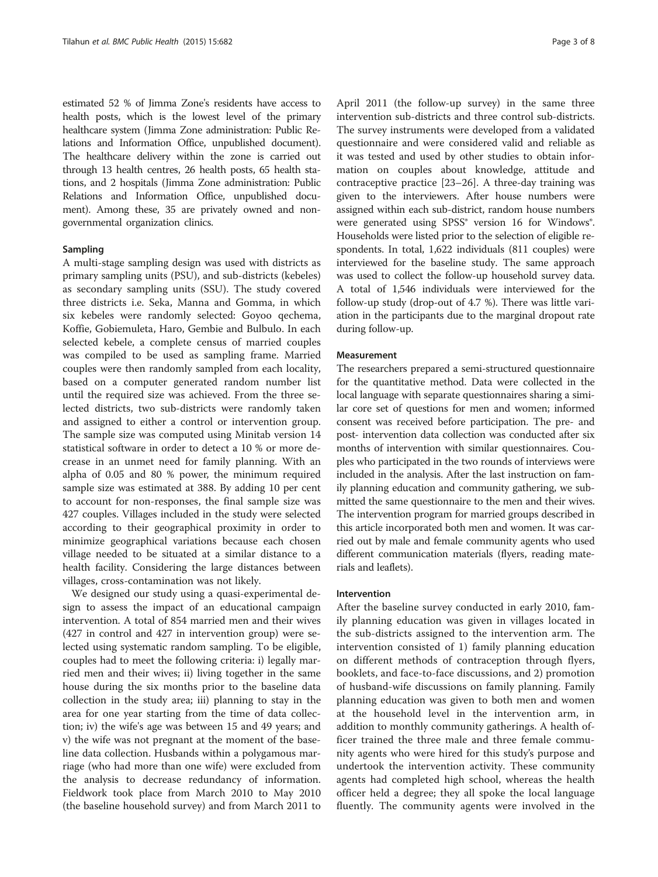estimated 52 % of Jimma Zone's residents have access to health posts, which is the lowest level of the primary healthcare system (Jimma Zone administration: Public Relations and Information Office, unpublished document). The healthcare delivery within the zone is carried out through 13 health centres, 26 health posts, 65 health stations, and 2 hospitals (Jimma Zone administration: Public Relations and Information Office, unpublished document). Among these, 35 are privately owned and nongovernmental organization clinics.

#### Sampling

A multi-stage sampling design was used with districts as primary sampling units (PSU), and sub-districts (kebeles) as secondary sampling units (SSU). The study covered three districts i.e. Seka, Manna and Gomma, in which six kebeles were randomly selected: Goyoo qechema, Koffie, Gobiemuleta, Haro, Gembie and Bulbulo. In each selected kebele, a complete census of married couples was compiled to be used as sampling frame. Married couples were then randomly sampled from each locality, based on a computer generated random number list until the required size was achieved. From the three selected districts, two sub-districts were randomly taken and assigned to either a control or intervention group. The sample size was computed using Minitab version 14 statistical software in order to detect a 10 % or more decrease in an unmet need for family planning. With an alpha of 0.05 and 80 % power, the minimum required sample size was estimated at 388. By adding 10 per cent to account for non-responses, the final sample size was 427 couples. Villages included in the study were selected according to their geographical proximity in order to minimize geographical variations because each chosen village needed to be situated at a similar distance to a health facility. Considering the large distances between villages, cross-contamination was not likely.

We designed our study using a quasi-experimental design to assess the impact of an educational campaign intervention. A total of 854 married men and their wives (427 in control and 427 in intervention group) were selected using systematic random sampling. To be eligible, couples had to meet the following criteria: i) legally married men and their wives; ii) living together in the same house during the six months prior to the baseline data collection in the study area; iii) planning to stay in the area for one year starting from the time of data collection; iv) the wife's age was between 15 and 49 years; and v) the wife was not pregnant at the moment of the baseline data collection. Husbands within a polygamous marriage (who had more than one wife) were excluded from the analysis to decrease redundancy of information. Fieldwork took place from March 2010 to May 2010 (the baseline household survey) and from March 2011 to

April 2011 (the follow-up survey) in the same three intervention sub-districts and three control sub-districts. The survey instruments were developed from a validated questionnaire and were considered valid and reliable as it was tested and used by other studies to obtain information on couples about knowledge, attitude and contraceptive practice [[23](#page-7-0)–[26](#page-7-0)]. A three-day training was given to the interviewers. After house numbers were assigned within each sub-district, random house numbers were generated using SPSS® version 16 for Windows®. Households were listed prior to the selection of eligible respondents. In total, 1,622 individuals (811 couples) were interviewed for the baseline study. The same approach was used to collect the follow-up household survey data. A total of 1,546 individuals were interviewed for the follow-up study (drop-out of 4.7 %). There was little variation in the participants due to the marginal dropout rate during follow-up.

#### Measurement

The researchers prepared a semi-structured questionnaire for the quantitative method. Data were collected in the local language with separate questionnaires sharing a similar core set of questions for men and women; informed consent was received before participation. The pre- and post- intervention data collection was conducted after six months of intervention with similar questionnaires. Couples who participated in the two rounds of interviews were included in the analysis. After the last instruction on family planning education and community gathering, we submitted the same questionnaire to the men and their wives. The intervention program for married groups described in this article incorporated both men and women. It was carried out by male and female community agents who used different communication materials (flyers, reading materials and leaflets).

#### Intervention

After the baseline survey conducted in early 2010, family planning education was given in villages located in the sub-districts assigned to the intervention arm. The intervention consisted of 1) family planning education on different methods of contraception through flyers, booklets, and face-to-face discussions, and 2) promotion of husband-wife discussions on family planning. Family planning education was given to both men and women at the household level in the intervention arm, in addition to monthly community gatherings. A health officer trained the three male and three female community agents who were hired for this study's purpose and undertook the intervention activity. These community agents had completed high school, whereas the health officer held a degree; they all spoke the local language fluently. The community agents were involved in the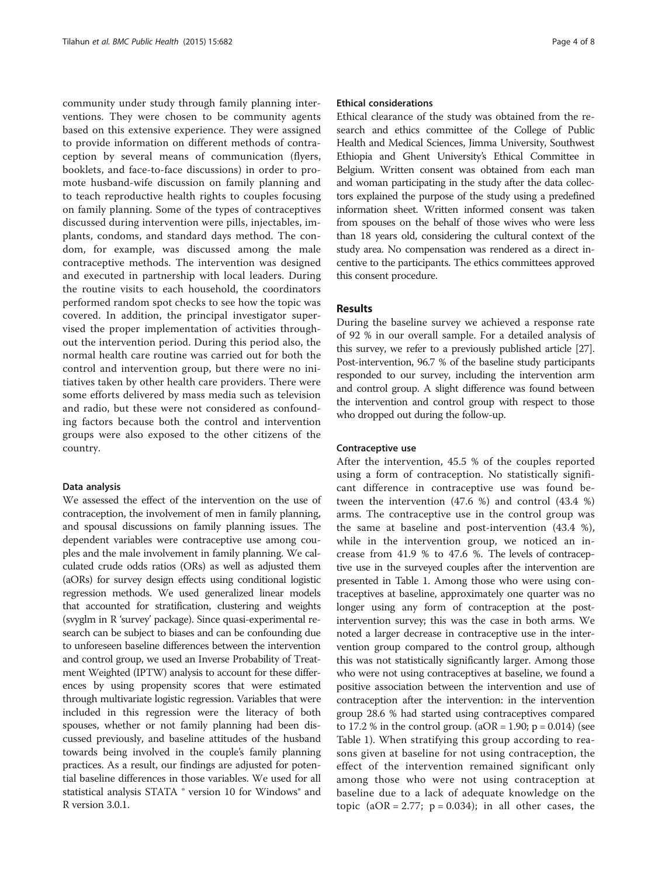community under study through family planning interventions. They were chosen to be community agents based on this extensive experience. They were assigned to provide information on different methods of contraception by several means of communication (flyers, booklets, and face-to-face discussions) in order to promote husband-wife discussion on family planning and to teach reproductive health rights to couples focusing on family planning. Some of the types of contraceptives discussed during intervention were pills, injectables, implants, condoms, and standard days method. The condom, for example, was discussed among the male contraceptive methods. The intervention was designed and executed in partnership with local leaders. During the routine visits to each household, the coordinators performed random spot checks to see how the topic was covered. In addition, the principal investigator supervised the proper implementation of activities throughout the intervention period. During this period also, the normal health care routine was carried out for both the control and intervention group, but there were no initiatives taken by other health care providers. There were some efforts delivered by mass media such as television and radio, but these were not considered as confounding factors because both the control and intervention groups were also exposed to the other citizens of the country.

#### Data analysis

We assessed the effect of the intervention on the use of contraception, the involvement of men in family planning, and spousal discussions on family planning issues. The dependent variables were contraceptive use among couples and the male involvement in family planning. We calculated crude odds ratios (ORs) as well as adjusted them (aORs) for survey design effects using conditional logistic regression methods. We used generalized linear models that accounted for stratification, clustering and weights (svyglm in R 'survey' package). Since quasi-experimental research can be subject to biases and can be confounding due to unforeseen baseline differences between the intervention and control group, we used an Inverse Probability of Treatment Weighted (IPTW) analysis to account for these differences by using propensity scores that were estimated through multivariate logistic regression. Variables that were included in this regression were the literacy of both spouses, whether or not family planning had been discussed previously, and baseline attitudes of the husband towards being involved in the couple's family planning practices. As a result, our findings are adjusted for potential baseline differences in those variables. We used for all statistical analysis STATA  $\degree$  version 10 for Windows $\degree$  and R version 3.0.1.

#### Ethical considerations

Ethical clearance of the study was obtained from the research and ethics committee of the College of Public Health and Medical Sciences, Jimma University, Southwest Ethiopia and Ghent University's Ethical Committee in Belgium. Written consent was obtained from each man and woman participating in the study after the data collectors explained the purpose of the study using a predefined information sheet. Written informed consent was taken from spouses on the behalf of those wives who were less than 18 years old, considering the cultural context of the study area. No compensation was rendered as a direct incentive to the participants. The ethics committees approved this consent procedure.

## Results

During the baseline survey we achieved a response rate of 92 % in our overall sample. For a detailed analysis of this survey, we refer to a previously published article [\[27](#page-7-0)]. Post-intervention, 96.7 % of the baseline study participants responded to our survey, including the intervention arm and control group. A slight difference was found between the intervention and control group with respect to those who dropped out during the follow-up.

# Contraceptive use

After the intervention, 45.5 % of the couples reported using a form of contraception. No statistically significant difference in contraceptive use was found between the intervention (47.6 %) and control (43.4 %) arms. The contraceptive use in the control group was the same at baseline and post-intervention (43.4 %), while in the intervention group, we noticed an increase from 41.9 % to 47.6 %. The levels of contraceptive use in the surveyed couples after the intervention are presented in Table [1](#page-4-0). Among those who were using contraceptives at baseline, approximately one quarter was no longer using any form of contraception at the postintervention survey; this was the case in both arms. We noted a larger decrease in contraceptive use in the intervention group compared to the control group, although this was not statistically significantly larger. Among those who were not using contraceptives at baseline, we found a positive association between the intervention and use of contraception after the intervention: in the intervention group 28.6 % had started using contraceptives compared to 17.2 % in the control group.  $(aOR = 1.90; p = 0.014)$  (see Table [1](#page-4-0)). When stratifying this group according to reasons given at baseline for not using contraception, the effect of the intervention remained significant only among those who were not using contraception at baseline due to a lack of adequate knowledge on the topic  $(aOR = 2.77; p = 0.034)$ ; in all other cases, the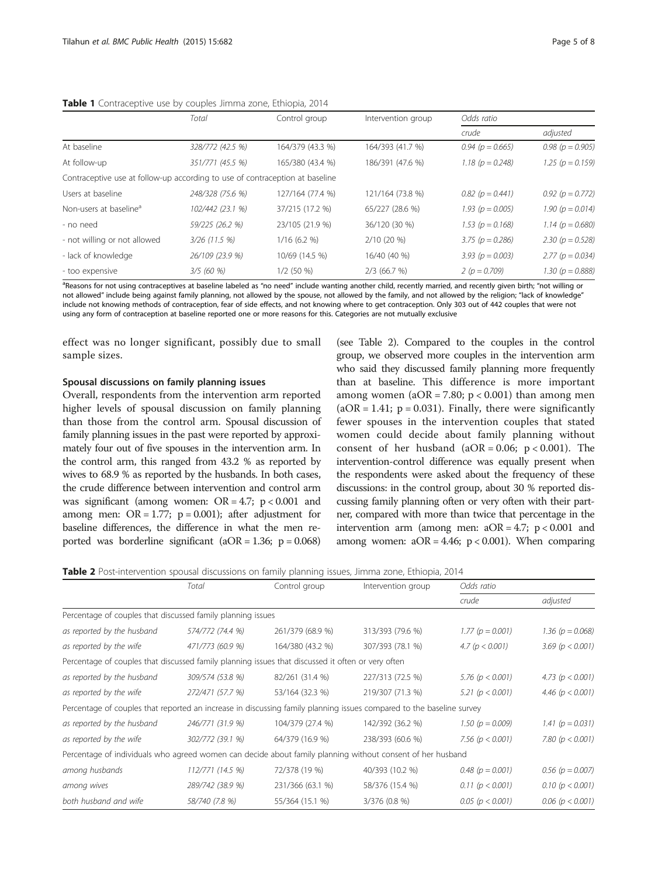|                                                                              | Total            | Control group    | Intervention group | Odds ratio             |                        |
|------------------------------------------------------------------------------|------------------|------------------|--------------------|------------------------|------------------------|
|                                                                              |                  |                  |                    | crude                  | adjusted               |
| At baseline                                                                  | 328/772 (42.5 %) | 164/379 (43.3 %) | 164/393 (41.7 %)   | $0.94$ ( $p = 0.665$ ) | $0.98$ ( $p = 0.905$ ) |
| At follow-up                                                                 | 351/771 (45.5 %) | 165/380 (43.4 %) | 186/391 (47.6 %)   | $1.18$ ( $p = 0.248$ ) | $1.25(p = 0.159)$      |
| Contraceptive use at follow-up according to use of contraception at baseline |                  |                  |                    |                        |                        |
| Users at baseline                                                            | 248/328 (75.6 %) | 127/164 (77.4 %) | 121/164 (73.8 %)   | $0.82(p = 0.441)$      | $0.92$ ( $p = 0.772$ ) |
| Non-users at baseline <sup>a</sup>                                           | 102/442 (23.1 %) | 37/215 (17.2 %)  | 65/227 (28.6 %)    | 1.93 ( $p = 0.005$ )   | 1.90 ( $p = 0.014$ )   |
| - no need                                                                    | 59/225 (26.2 %)  | 23/105 (21.9 %)  | 36/120 (30 %)      | $1.53$ ( $p = 0.168$ ) | 1.14 ( $p = 0.680$ )   |
| - not willing or not allowed                                                 | $3/26$ (11.5 %)  | $1/16$ (6.2 %)   | 2/10 (20 %)        | $3.75$ ( $p = 0.286$ ) | 2.30 ( $p = 0.528$ )   |
| - lack of knowledge                                                          | 26/109 (23.9 %)  | 10/69 (14.5 %)   | 16/40 (40 %)       | 3.93 ( $p = 0.003$ )   | $2.77$ ( $p = 0.034$ ) |
| - too expensive                                                              | 3/5(60%)         | $1/2$ (50 %)     | $2/3$ (66.7 %)     | $2 (p = 0.709)$        | $1.30(p = 0.888)$      |

<span id="page-4-0"></span>Table 1 Contraceptive use by couples Jimma zone, Ethiopia, 2014

<sup>a</sup>Reasons for not using contraceptives at baseline labeled as "no need" include wanting another child, recently married, and recently given birth; "not willing or not allowed" include being against family planning, not allowed by the spouse, not allowed by the family, and not allowed by the religion; "lack of knowledge" include not knowing methods of contraception, fear of side effects, and not knowing where to get contraception. Only 303 out of 442 couples that were not using any form of contraception at baseline reported one or more reasons for this. Categories are not mutually exclusive

effect was no longer significant, possibly due to small sample sizes.

# Spousal discussions on family planning issues

Overall, respondents from the intervention arm reported higher levels of spousal discussion on family planning than those from the control arm. Spousal discussion of family planning issues in the past were reported by approximately four out of five spouses in the intervention arm. In the control arm, this ranged from 43.2 % as reported by wives to 68.9 % as reported by the husbands. In both cases, the crude difference between intervention and control arm was significant (among women:  $OR = 4.7$ ;  $p < 0.001$  and among men:  $OR = 1.77$ ;  $p = 0.001$ ); after adjustment for baseline differences, the difference in what the men reported was borderline significant  $(aOR = 1.36; p = 0.068)$ 

(see Table 2). Compared to the couples in the control group, we observed more couples in the intervention arm who said they discussed family planning more frequently than at baseline. This difference is more important among women ( $aOR = 7.80$ ;  $p < 0.001$ ) than among men  $(aOR = 1.41; p = 0.031)$ . Finally, there were significantly fewer spouses in the intervention couples that stated women could decide about family planning without consent of her husband  $(aOR = 0.06; p < 0.001)$ . The intervention-control difference was equally present when the respondents were asked about the frequency of these discussions: in the control group, about 30 % reported discussing family planning often or very often with their partner, compared with more than twice that percentage in the intervention arm (among men:  $aOR = 4.7$ ;  $p < 0.001$  and among women:  $aOR = 4.46$ ;  $p < 0.001$ ). When comparing

Table 2 Post-intervention spousal discussions on family planning issues, Jimma zone, Ethiopia, 2014

|                                                                                                                      | Total            | Control group    | Intervention group | Odds ratio             |                        |
|----------------------------------------------------------------------------------------------------------------------|------------------|------------------|--------------------|------------------------|------------------------|
|                                                                                                                      |                  |                  |                    | crude                  | adjusted               |
| Percentage of couples that discussed family planning issues                                                          |                  |                  |                    |                        |                        |
| as reported by the husband                                                                                           | 574/772 (74.4 %) | 261/379 (68.9 %) | 313/393 (79.6 %)   | $1.77(p = 0.001)$      | 1.36 ( $p = 0.068$ )   |
| as reported by the wife                                                                                              | 471/773 (60.9 %) | 164/380 (43.2 %) | 307/393 (78.1 %)   | 4.7 ( $p < 0.001$ )    | $3.69$ ( $p < 0.001$ ) |
| Percentage of couples that discussed family planning issues that discussed it often or very often                    |                  |                  |                    |                        |                        |
| as reported by the husband                                                                                           | 309/574 (53.8 %) | 82/261 (31.4 %)  | 227/313 (72.5 %)   | 5.76 ( $p < 0.001$ )   | 4.73 ( $p < 0.001$ )   |
| as reported by the wife                                                                                              | 272/471 (57.7 %) | 53/164 (32.3 %)  | 219/307 (71.3 %)   | 5.21 ( $p < 0.001$ )   | 4.46 ( $p < 0.001$ )   |
| Percentage of couples that reported an increase in discussing family planning issues compared to the baseline survey |                  |                  |                    |                        |                        |
| as reported by the husband                                                                                           | 246/771 (31.9 %) | 104/379 (27.4 %) | 142/392 (36.2 %)   | 1.50 ( $p = 0.009$ )   | 1.41 ( $p = 0.031$ )   |
| as reported by the wife                                                                                              | 302/772 (39.1 %) | 64/379 (16.9 %)  | 238/393 (60.6 %)   | 7.56 ( $p < 0.001$ )   | 7.80 ( $p < 0.001$ )   |
| Percentage of individuals who agreed women can decide about family planning without consent of her husband           |                  |                  |                    |                        |                        |
| among husbands                                                                                                       | 112/771 (14.5 %) | 72/378 (19 %)    | 40/393 (10.2 %)    | $0.48$ ( $p = 0.001$ ) | $0.56$ ( $p = 0.007$ ) |
| among wives                                                                                                          | 289/742 (38.9 %) | 231/366 (63.1 %) | 58/376 (15.4 %)    | 0.11 (p < 0.001)       | $0.10$ ( $p < 0.001$ ) |
| both husband and wife                                                                                                | 58/740 (7.8 %)   | 55/364 (15.1 %)  | 3/376 (0.8 %)      | 0.05(p < 0.001)        | $0.06$ ( $p < 0.001$ ) |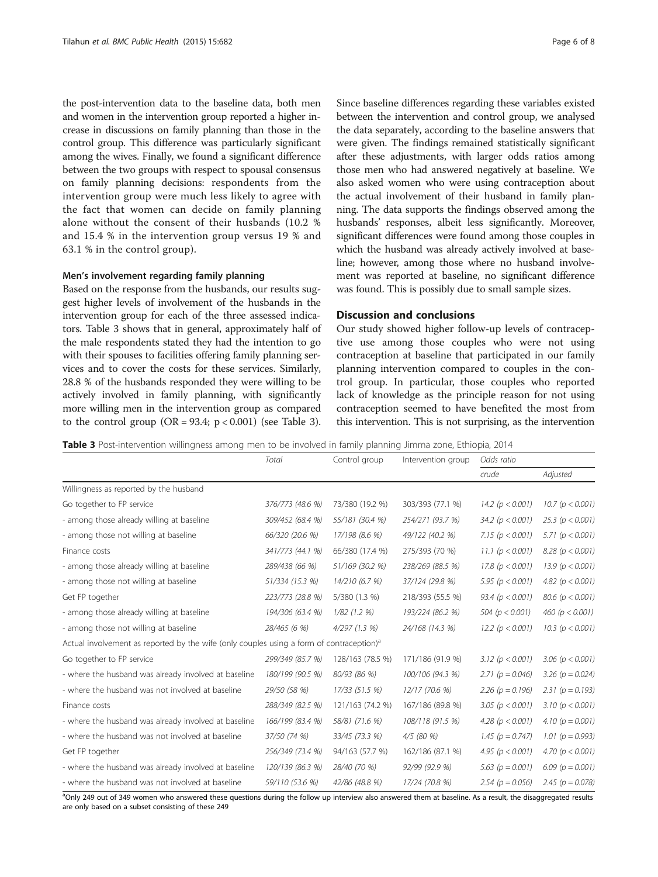the post-intervention data to the baseline data, both men and women in the intervention group reported a higher increase in discussions on family planning than those in the control group. This difference was particularly significant among the wives. Finally, we found a significant difference between the two groups with respect to spousal consensus on family planning decisions: respondents from the intervention group were much less likely to agree with the fact that women can decide on family planning alone without the consent of their husbands (10.2 % and 15.4 % in the intervention group versus 19 % and 63.1 % in the control group).

## Men's involvement regarding family planning

Based on the response from the husbands, our results suggest higher levels of involvement of the husbands in the intervention group for each of the three assessed indicators. Table 3 shows that in general, approximately half of the male respondents stated they had the intention to go with their spouses to facilities offering family planning services and to cover the costs for these services. Similarly, 28.8 % of the husbands responded they were willing to be actively involved in family planning, with significantly more willing men in the intervention group as compared to the control group  $(OR = 93.4; p < 0.001)$  (see Table 3). Since baseline differences regarding these variables existed between the intervention and control group, we analysed the data separately, according to the baseline answers that were given. The findings remained statistically significant after these adjustments, with larger odds ratios among those men who had answered negatively at baseline. We also asked women who were using contraception about the actual involvement of their husband in family planning. The data supports the findings observed among the husbands' responses, albeit less significantly. Moreover, significant differences were found among those couples in which the husband was already actively involved at baseline; however, among those where no husband involvement was reported at baseline, no significant difference was found. This is possibly due to small sample sizes.

## Discussion and conclusions

Our study showed higher follow-up levels of contraceptive use among those couples who were not using contraception at baseline that participated in our family planning intervention compared to couples in the control group. In particular, those couples who reported lack of knowledge as the principle reason for not using contraception seemed to have benefited the most from this intervention. This is not surprising, as the intervention

Table 3 Post-intervention willingness among men to be involved in family planning Jimma zone, Ethiopia, 2014

|                                                                                                      | Total            | Control group    | Intervention group | Odds ratio             |                      |
|------------------------------------------------------------------------------------------------------|------------------|------------------|--------------------|------------------------|----------------------|
|                                                                                                      |                  |                  |                    | crude                  | Adjusted             |
| Willingness as reported by the husband                                                               |                  |                  |                    |                        |                      |
| Go together to FP service                                                                            | 376/773 (48.6 %) | 73/380 (19.2 %)  | 303/393 (77.1 %)   | 14.2 ( $p < 0.001$ )   | 10.7 (p < 0.001)     |
| - among those already willing at baseline                                                            | 309/452 (68.4 %) | 55/181 (30.4 %)  | 254/271 (93.7 %)   | $34.2$ ( $p < 0.001$ ) | 25.3 ( $p < 0.001$ ) |
| - among those not willing at baseline                                                                | 66/320 (20.6 %)  | 17/198 (8.6 %)   | 49/122 (40.2 %)    | 7.15 ( $p < 0.001$ )   | 5.71 ( $p < 0.001$ ) |
| Finance costs                                                                                        | 341/773 (44.1 %) | 66/380 (17.4 %)  | 275/393 (70 %)     | 11.1 ( $p < 0.001$ )   | 8.28(p < 0.001)      |
| - among those already willing at baseline                                                            | 289/438 (66 %)   | 51/169 (30.2 %)  | 238/269 (88.5 %)   | 17.8 ( $p < 0.001$ )   | 13.9 ( $p < 0.001$ ) |
| - among those not willing at baseline                                                                | 51/334 (15.3 %)  | 14/210 (6.7 %)   | 37/124 (29.8 %)    | 5.95 ( $p < 0.001$ )   | 4.82 ( $p < 0.001$ ) |
| Get FP together                                                                                      | 223/773 (28.8 %) | 5/380 (1.3 %)    | 218/393 (55.5 %)   | 93.4 ( $p < 0.001$ )   | 80.6(p < 0.001)      |
| - among those already willing at baseline                                                            | 194/306 (63.4 %) | 1/82(1.2%        | 193/224 (86.2 %)   | 504 ( $p < 0.001$ )    | 460 ( $p < 0.001$ )  |
| - among those not willing at baseline                                                                | 28/465 (6 %)     | 4/297(1.3%)      | 24/168 (14.3 %)    | 12.2 (p < 0.001)       | 10.3 ( $p < 0.001$ ) |
| Actual involvement as reported by the wife (only couples using a form of contraception) <sup>a</sup> |                  |                  |                    |                        |                      |
| Go together to FP service                                                                            | 299/349 (85.7 %) | 128/163 (78.5 %) | 171/186 (91.9 %)   | 3.12 ( $p < 0.001$ )   | 3.06 ( $p < 0.001$ ) |
| - where the husband was already involved at baseline                                                 | 180/199 (90.5 %) | 80/93 (86 %)     | 100/106 (94.3 %)   | 2.71 ( $p = 0.046$ )   | 3.26 ( $p = 0.024$ ) |
| - where the husband was not involved at baseline                                                     | 29/50 (58 %)     | 17/33 (51.5 %)   | 12/17 (70.6 %)     | 2.26 ( $p = 0.196$ )   | 2.31 ( $p = 0.193$ ) |
| Finance costs                                                                                        | 288/349 (82.5 %) | 121/163 (74.2 %) | 167/186 (89.8 %)   | 3.05 ( $p < 0.001$ )   | 3.10 ( $p < 0.001$ ) |
| - where the husband was already involved at baseline                                                 | 166/199 (83.4 %) | 58/81 (71.6 %)   | 108/118 (91.5 %)   | 4.28 ( $p < 0.001$ )   | 4.10 ( $p = 0.001$ ) |
| - where the husband was not involved at baseline                                                     | 37/50 (74 %)     | 33/45 (73.3 %)   | $4/5$ (80 %)       | $1.45$ ( $p = 0.747$ ) | 1.01 ( $p = 0.993$ ) |
| Get FP together                                                                                      | 256/349 (73.4 %) | 94/163 (57.7 %)  | 162/186 (87.1 %)   | 4.95 ( $p < 0.001$ )   | 4.70 ( $p < 0.001$ ) |
| - where the husband was already involved at baseline                                                 | 120/139 (86.3 %) | 28/40 (70 %)     | 92/99 (92.9 %)     | 5.63 ( $p = 0.001$ )   | 6.09 ( $p = 0.001$ ) |
| - where the husband was not involved at baseline                                                     | 59/110 (53.6 %)  | 42/86 (48.8 %)   | 17/24 (70.8 %)     | 2.54 ( $p = 0.056$ )   | 2.45 ( $p = 0.078$ ) |

<sup>a</sup>Only 249 out of 349 women who answered these questions during the follow up interview also answered them at baseline. As a result, the disaggregated results are only based on a subset consisting of these 249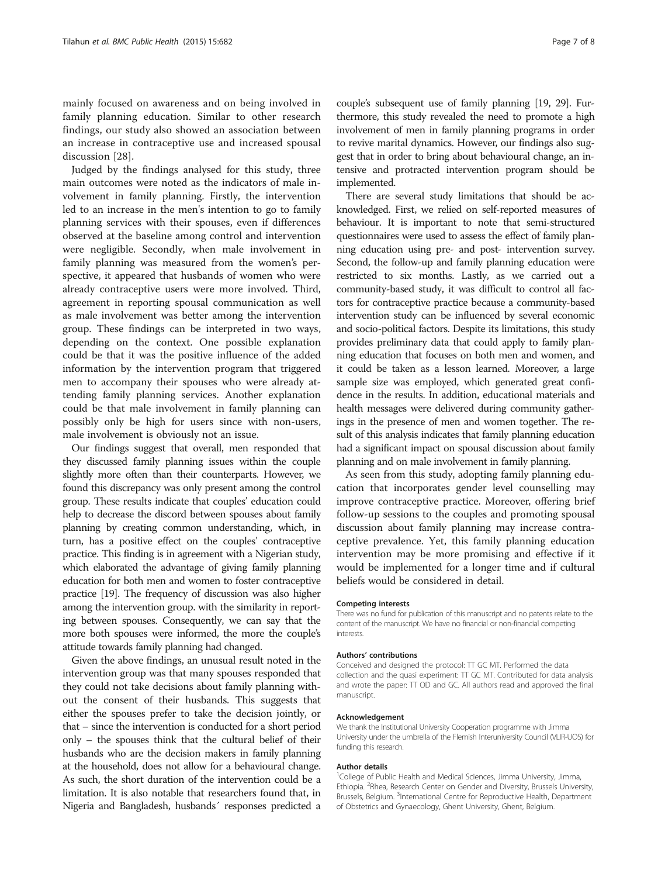mainly focused on awareness and on being involved in family planning education. Similar to other research findings, our study also showed an association between an increase in contraceptive use and increased spousal discussion [[28\]](#page-7-0).

Judged by the findings analysed for this study, three main outcomes were noted as the indicators of male involvement in family planning. Firstly, the intervention led to an increase in the men's intention to go to family planning services with their spouses, even if differences observed at the baseline among control and intervention were negligible. Secondly, when male involvement in family planning was measured from the women's perspective, it appeared that husbands of women who were already contraceptive users were more involved. Third, agreement in reporting spousal communication as well as male involvement was better among the intervention group. These findings can be interpreted in two ways, depending on the context. One possible explanation could be that it was the positive influence of the added information by the intervention program that triggered men to accompany their spouses who were already attending family planning services. Another explanation could be that male involvement in family planning can possibly only be high for users since with non-users, male involvement is obviously not an issue.

Our findings suggest that overall, men responded that they discussed family planning issues within the couple slightly more often than their counterparts. However, we found this discrepancy was only present among the control group. These results indicate that couples' education could help to decrease the discord between spouses about family planning by creating common understanding, which, in turn, has a positive effect on the couples' contraceptive practice. This finding is in agreement with a Nigerian study, which elaborated the advantage of giving family planning education for both men and women to foster contraceptive practice [\[19\]](#page-7-0). The frequency of discussion was also higher among the intervention group. with the similarity in reporting between spouses. Consequently, we can say that the more both spouses were informed, the more the couple's attitude towards family planning had changed.

Given the above findings, an unusual result noted in the intervention group was that many spouses responded that they could not take decisions about family planning without the consent of their husbands. This suggests that either the spouses prefer to take the decision jointly, or that – since the intervention is conducted for a short period only – the spouses think that the cultural belief of their husbands who are the decision makers in family planning at the household, does not allow for a behavioural change. As such, the short duration of the intervention could be a limitation. It is also notable that researchers found that, in Nigeria and Bangladesh, husbands´ responses predicted a couple's subsequent use of family planning [\[19, 29](#page-7-0)]. Furthermore, this study revealed the need to promote a high involvement of men in family planning programs in order to revive marital dynamics. However, our findings also suggest that in order to bring about behavioural change, an intensive and protracted intervention program should be implemented.

There are several study limitations that should be acknowledged. First, we relied on self-reported measures of behaviour. It is important to note that semi-structured questionnaires were used to assess the effect of family planning education using pre- and post- intervention survey. Second, the follow-up and family planning education were restricted to six months. Lastly, as we carried out a community-based study, it was difficult to control all factors for contraceptive practice because a community-based intervention study can be influenced by several economic and socio-political factors. Despite its limitations, this study provides preliminary data that could apply to family planning education that focuses on both men and women, and it could be taken as a lesson learned. Moreover, a large sample size was employed, which generated great confidence in the results. In addition, educational materials and health messages were delivered during community gatherings in the presence of men and women together. The result of this analysis indicates that family planning education had a significant impact on spousal discussion about family planning and on male involvement in family planning.

As seen from this study, adopting family planning education that incorporates gender level counselling may improve contraceptive practice. Moreover, offering brief follow-up sessions to the couples and promoting spousal discussion about family planning may increase contraceptive prevalence. Yet, this family planning education intervention may be more promising and effective if it would be implemented for a longer time and if cultural beliefs would be considered in detail.

#### Competing interests

There was no fund for publication of this manuscript and no patents relate to the content of the manuscript. We have no financial or non-financial competing interests.

#### Authors' contributions

Conceived and designed the protocol: TT GC MT. Performed the data collection and the quasi experiment: TT GC MT. Contributed for data analysis and wrote the paper: TT OD and GC. All authors read and approved the final manuscript.

#### Acknowledgement

We thank the Institutional University Cooperation programme with Jimma University under the umbrella of the Flemish Interuniversity Council (VLIR-UOS) for funding this research.

#### Author details

<sup>1</sup>College of Public Health and Medical Sciences, Jimma University, Jimma, Ethiopia. <sup>2</sup>Rhea, Research Center on Gender and Diversity, Brussels University, Brussels, Belgium. <sup>3</sup>International Centre for Reproductive Health, Department of Obstetrics and Gynaecology, Ghent University, Ghent, Belgium.